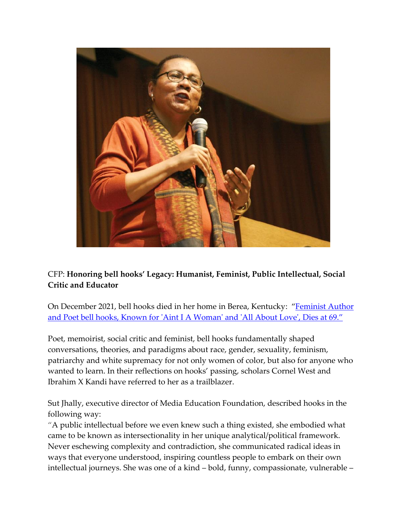

## CFP: **Honoring bell hooks' Legacy: Humanist, Feminist, Public Intellectual, Social Critic and Educator**

On December 2021, bell hooks died in her home in Berea, Kentucky: "[Feminist Author](https://www.usatoday.com/story/entertainment/books/2021/12/15/bell-hooks-aint-woman-and-all-love-author-dies-69/8910407002/)  [and Poet bell hooks, Known for 'Aint I A Woman' and 'All About Love', Dies at 69.](https://www.usatoday.com/story/entertainment/books/2021/12/15/bell-hooks-aint-woman-and-all-love-author-dies-69/8910407002/)"

Poet, memoirist, social critic and feminist, bell hooks fundamentally shaped conversations, theories, and paradigms about race, gender, sexuality, feminism, patriarchy and white supremacy for not only women of color, but also for anyone who wanted to learn. In their reflections on hooks' passing, scholars Cornel West and Ibrahim X Kandi have referred to her as a trailblazer.

Sut Jhally, executive director of Media Education Foundation, described hooks in the following way:

"A public intellectual before we even knew such a thing existed, she embodied what came to be known as intersectionality in her unique analytical/political framework. Never eschewing complexity and contradiction, she communicated radical ideas in ways that everyone understood, inspiring countless people to embark on their own intellectual journeys. She was one of a kind – bold, funny, compassionate, vulnerable –